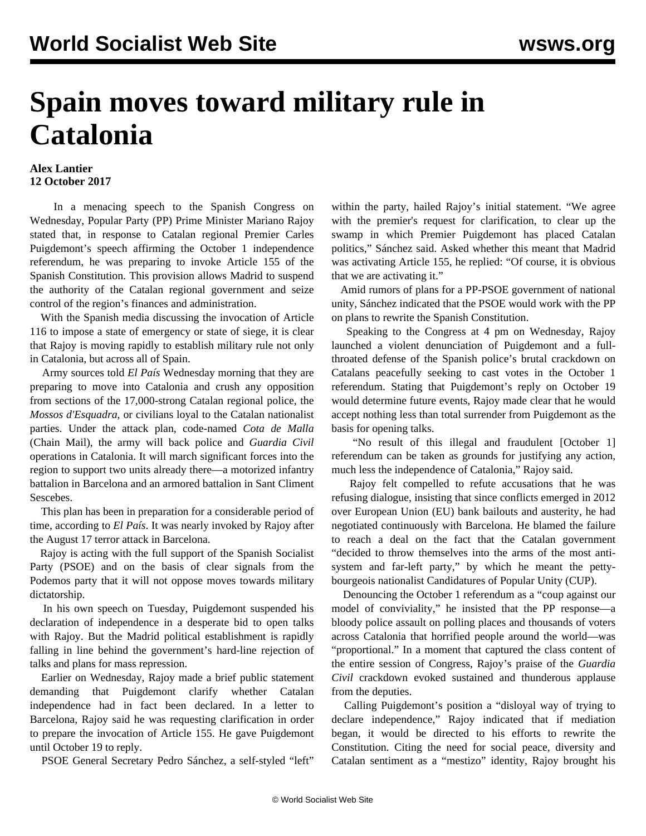## **Spain moves toward military rule in Catalonia**

## **Alex Lantier 12 October 2017**

 In a menacing speech to the Spanish Congress on Wednesday, Popular Party (PP) Prime Minister Mariano Rajoy stated that, in response to Catalan regional Premier Carles Puigdemont's speech affirming the October 1 independence referendum, he was preparing to invoke Article 155 of the Spanish Constitution. This provision allows Madrid to suspend the authority of the Catalan regional government and seize control of the region's finances and administration.

 With the Spanish media discussing the invocation of Article 116 to impose a state of emergency or state of siege, it is clear that Rajoy is moving rapidly to establish military rule not only in Catalonia, but across all of Spain.

 Army sources told *El País* Wednesday morning that they are preparing to move into Catalonia and crush any opposition from sections of the 17,000-strong Catalan regional police, the *Mossos d'Esquadra*, or civilians loyal to the Catalan nationalist parties. Under the attack plan, code-named *Cota de Malla* (Chain Mail), the army will back police and *Guardia Civil* operations in Catalonia. It will march significant forces into the region to support two units already there—a motorized infantry battalion in Barcelona and an armored battalion in Sant Climent **Sescebes**.

 This plan has been in preparation for a considerable period of time, according to *El País*. It was nearly [invoked](/en/articles/2017/08/19/rajo-a19.html) by Rajoy after the August 17 terror attack in Barcelona.

 Rajoy is acting with the full support of the Spanish Socialist Party (PSOE) and on the basis of clear signals from the Podemos party that it will not oppose moves towards military dictatorship.

 In his own speech on Tuesday, Puigdemont suspended his declaration of independence in a desperate bid to open talks with Rajoy. But the Madrid political establishment is rapidly falling in line behind the government's hard-line rejection of talks and plans for mass repression.

 Earlier on Wednesday, Rajoy made a brief public statement demanding that Puigdemont clarify whether Catalan independence had in fact been declared. In a letter to Barcelona, Rajoy said he was requesting clarification in order to prepare the invocation of Article 155. He gave Puigdemont until October 19 to reply.

PSOE General Secretary Pedro Sánchez, a self-styled "left"

within the party, hailed Rajoy's initial statement. "We agree with the premier's request for clarification, to clear up the swamp in which Premier Puigdemont has placed Catalan politics," Sánchez said. Asked whether this meant that Madrid was activating Article 155, he replied: "Of course, it is obvious that we are activating it."

 Amid rumors of plans for a PP-PSOE government of national unity, Sánchez indicated that the PSOE would work with the PP on plans to rewrite the Spanish Constitution.

 Speaking to the Congress at 4 pm on Wednesday, Rajoy launched a violent denunciation of Puigdemont and a fullthroated defense of the Spanish police's brutal crackdown on Catalans peacefully seeking to cast votes in the October 1 referendum. Stating that Puigdemont's reply on October 19 would determine future events, Rajoy made clear that he would accept nothing less than total surrender from Puigdemont as the basis for opening talks.

 "No result of this illegal and fraudulent [October 1] referendum can be taken as grounds for justifying any action, much less the independence of Catalonia," Rajoy said.

 Rajoy felt compelled to refute accusations that he was refusing dialogue, insisting that since conflicts emerged in 2012 over European Union (EU) bank bailouts and austerity, he had negotiated continuously with Barcelona. He blamed the failure to reach a deal on the fact that the Catalan government "decided to throw themselves into the arms of the most antisystem and far-left party," by which he meant the pettybourgeois nationalist Candidatures of Popular Unity (CUP).

 Denouncing the October 1 referendum as a "coup against our model of conviviality," he insisted that the PP response—a bloody police assault on polling places and thousands of voters across Catalonia that horrified people around the world—was "proportional." In a moment that captured the class content of the entire session of Congress, Rajoy's praise of the *Guardia Civil* crackdown evoked sustained and thunderous applause from the deputies.

 Calling Puigdemont's position a "disloyal way of trying to declare independence," Rajoy indicated that if mediation began, it would be directed to his efforts to rewrite the Constitution. Citing the need for social peace, diversity and Catalan sentiment as a "mestizo" identity, Rajoy brought his